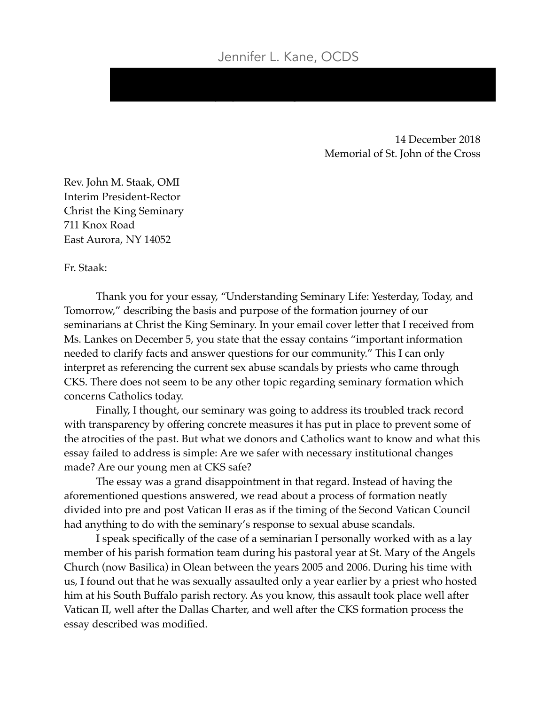jenny@smaolean.org 716-378-0444

14 December 2018 Memorial of St. John of the Cross

Rev. John M. Staak, OMI Interim President-Rector Christ the King Seminary 711 Knox Road East Aurora, NY 14052

Fr. Staak:

Thank you for your essay, "Understanding Seminary Life: Yesterday, Today, and Tomorrow," describing the basis and purpose of the formation journey of our seminarians at Christ the King Seminary. In your email cover letter that I received from Ms. Lankes on December 5, you state that the essay contains "important information needed to clarify facts and answer questions for our community." This I can only interpret as referencing the current sex abuse scandals by priests who came through CKS. There does not seem to be any other topic regarding seminary formation which concerns Catholics today.

Finally, I thought, our seminary was going to address its troubled track record with transparency by offering concrete measures it has put in place to prevent some of the atrocities of the past. But what we donors and Catholics want to know and what this essay failed to address is simple: Are we safer with necessary institutional changes made? Are our young men at CKS safe?

The essay was a grand disappointment in that regard. Instead of having the aforementioned questions answered, we read about a process of formation neatly divided into pre and post Vatican II eras as if the timing of the Second Vatican Council had anything to do with the seminary's response to sexual abuse scandals.

I speak specifically of the case of a seminarian I personally worked with as a lay member of his parish formation team during his pastoral year at St. Mary of the Angels Church (now Basilica) in Olean between the years 2005 and 2006. During his time with us, I found out that he was sexually assaulted only a year earlier by a priest who hosted him at his South Buffalo parish rectory. As you know, this assault took place well after Vatican II, well after the Dallas Charter, and well after the CKS formation process the essay described was modified.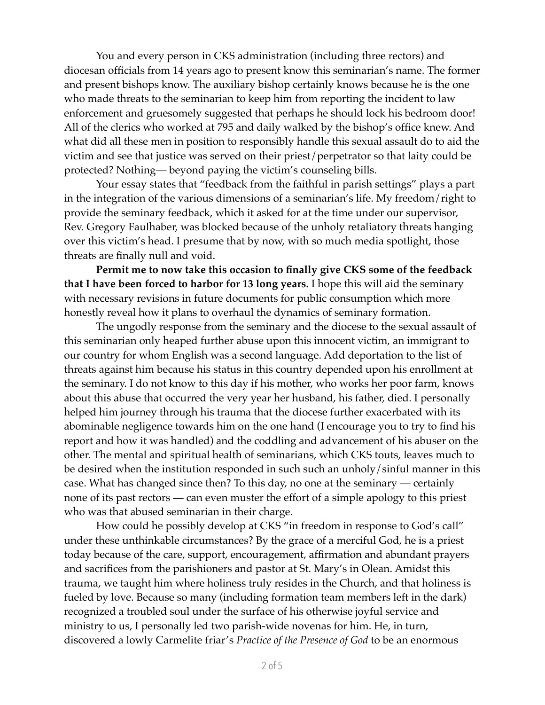You and every person in CKS administration (including three rectors) and diocesan officials from 14 years ago to present know this seminarian's name. The former and present bishops know. The auxiliary bishop certainly knows because he is the one who made threats to the seminarian to keep him from reporting the incident to law enforcement and gruesomely suggested that perhaps he should lock his bedroom door! All of the clerics who worked at 795 and daily walked by the bishop's office knew. And what did all these men in position to responsibly handle this sexual assault do to aid the victim and see that justice was served on their priest/perpetrator so that laity could be protected? Nothing— beyond paying the victim's counseling bills.

Your essay states that "feedback from the faithful in parish settings" plays a part in the integration of the various dimensions of a seminarian's life. My freedom/right to provide the seminary feedback, which it asked for at the time under our supervisor, Rev. Gregory Faulhaber, was blocked because of the unholy retaliatory threats hanging over this victim's head. I presume that by now, with so much media spotlight, those threats are finally null and void.

**Permit me to now take this occasion to finally give CKS some of the feedback that I have been forced to harbor for 13 long years.** I hope this will aid the seminary with necessary revisions in future documents for public consumption which more honestly reveal how it plans to overhaul the dynamics of seminary formation.

The ungodly response from the seminary and the diocese to the sexual assault of this seminarian only heaped further abuse upon this innocent victim, an immigrant to our country for whom English was a second language. Add deportation to the list of threats against him because his status in this country depended upon his enrollment at the seminary. I do not know to this day if his mother, who works her poor farm, knows about this abuse that occurred the very year her husband, his father, died. I personally helped him journey through his trauma that the diocese further exacerbated with its abominable negligence towards him on the one hand (I encourage you to try to find his report and how it was handled) and the coddling and advancement of his abuser on the other. The mental and spiritual health of seminarians, which CKS touts, leaves much to be desired when the institution responded in such such an unholy/sinful manner in this case. What has changed since then? To this day, no one at the seminary — certainly none of its past rectors — can even muster the effort of a simple apology to this priest who was that abused seminarian in their charge.

How could he possibly develop at CKS "in freedom in response to God's call" under these unthinkable circumstances? By the grace of a merciful God, he is a priest today because of the care, support, encouragement, affirmation and abundant prayers and sacrifices from the parishioners and pastor at St. Mary's in Olean. Amidst this trauma, we taught him where holiness truly resides in the Church, and that holiness is fueled by love. Because so many (including formation team members left in the dark) recognized a troubled soul under the surface of his otherwise joyful service and ministry to us, I personally led two parish-wide novenas for him. He, in turn, discovered a lowly Carmelite friar's *Practice of the Presence of God* to be an enormous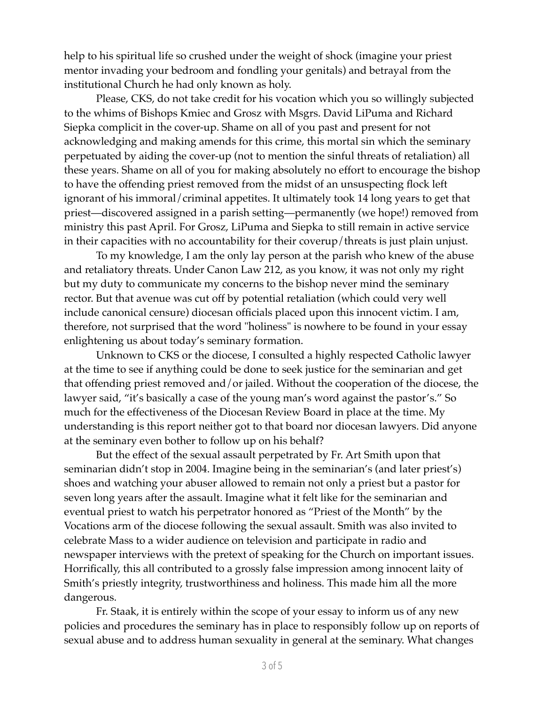help to his spiritual life so crushed under the weight of shock (imagine your priest mentor invading your bedroom and fondling your genitals) and betrayal from the institutional Church he had only known as holy.

Please, CKS, do not take credit for his vocation which you so willingly subjected to the whims of Bishops Kmiec and Grosz with Msgrs. David LiPuma and Richard Siepka complicit in the cover-up. Shame on all of you past and present for not acknowledging and making amends for this crime, this mortal sin which the seminary perpetuated by aiding the cover-up (not to mention the sinful threats of retaliation) all these years. Shame on all of you for making absolutely no effort to encourage the bishop to have the offending priest removed from the midst of an unsuspecting flock left ignorant of his immoral/criminal appetites. It ultimately took 14 long years to get that priest—discovered assigned in a parish setting—permanently (we hope!) removed from ministry this past April. For Grosz, LiPuma and Siepka to still remain in active service in their capacities with no accountability for their coverup/threats is just plain unjust.

To my knowledge, I am the only lay person at the parish who knew of the abuse and retaliatory threats. Under Canon Law 212, as you know, it was not only my right but my duty to communicate my concerns to the bishop never mind the seminary rector. But that avenue was cut off by potential retaliation (which could very well include canonical censure) diocesan officials placed upon this innocent victim. I am, therefore, not surprised that the word "holiness" is nowhere to be found in your essay enlightening us about today's seminary formation.

Unknown to CKS or the diocese, I consulted a highly respected Catholic lawyer at the time to see if anything could be done to seek justice for the seminarian and get that offending priest removed and/or jailed. Without the cooperation of the diocese, the lawyer said, "it's basically a case of the young man's word against the pastor's." So much for the effectiveness of the Diocesan Review Board in place at the time. My understanding is this report neither got to that board nor diocesan lawyers. Did anyone at the seminary even bother to follow up on his behalf?

But the effect of the sexual assault perpetrated by Fr. Art Smith upon that seminarian didn't stop in 2004. Imagine being in the seminarian's (and later priest's) shoes and watching your abuser allowed to remain not only a priest but a pastor for seven long years after the assault. Imagine what it felt like for the seminarian and eventual priest to watch his perpetrator honored as "Priest of the Month" by the Vocations arm of the diocese following the sexual assault. Smith was also invited to celebrate Mass to a wider audience on television and participate in radio and newspaper interviews with the pretext of speaking for the Church on important issues. Horrifically, this all contributed to a grossly false impression among innocent laity of Smith's priestly integrity, trustworthiness and holiness. This made him all the more dangerous.

Fr. Staak, it is entirely within the scope of your essay to inform us of any new policies and procedures the seminary has in place to responsibly follow up on reports of sexual abuse and to address human sexuality in general at the seminary. What changes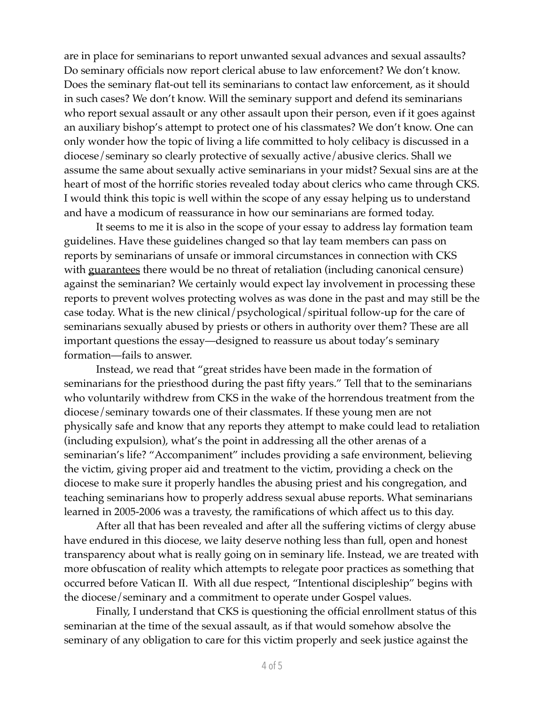are in place for seminarians to report unwanted sexual advances and sexual assaults? Do seminary officials now report clerical abuse to law enforcement? We don't know. Does the seminary flat-out tell its seminarians to contact law enforcement, as it should in such cases? We don't know. Will the seminary support and defend its seminarians who report sexual assault or any other assault upon their person, even if it goes against an auxiliary bishop's attempt to protect one of his classmates? We don't know. One can only wonder how the topic of living a life committed to holy celibacy is discussed in a diocese/seminary so clearly protective of sexually active/abusive clerics. Shall we assume the same about sexually active seminarians in your midst? Sexual sins are at the heart of most of the horrific stories revealed today about clerics who came through CKS. I would think this topic is well within the scope of any essay helping us to understand and have a modicum of reassurance in how our seminarians are formed today.

It seems to me it is also in the scope of your essay to address lay formation team guidelines. Have these guidelines changed so that lay team members can pass on reports by seminarians of unsafe or immoral circumstances in connection with CKS with guarantees there would be no threat of retaliation (including canonical censure) against the seminarian? We certainly would expect lay involvement in processing these reports to prevent wolves protecting wolves as was done in the past and may still be the case today. What is the new clinical/psychological/spiritual follow-up for the care of seminarians sexually abused by priests or others in authority over them? These are all important questions the essay—designed to reassure us about today's seminary formation—fails to answer.

Instead, we read that "great strides have been made in the formation of seminarians for the priesthood during the past fifty years." Tell that to the seminarians who voluntarily withdrew from CKS in the wake of the horrendous treatment from the diocese/seminary towards one of their classmates. If these young men are not physically safe and know that any reports they attempt to make could lead to retaliation (including expulsion), what's the point in addressing all the other arenas of a seminarian's life? "Accompaniment" includes providing a safe environment, believing the victim, giving proper aid and treatment to the victim, providing a check on the diocese to make sure it properly handles the abusing priest and his congregation, and teaching seminarians how to properly address sexual abuse reports. What seminarians learned in 2005-2006 was a travesty, the ramifications of which affect us to this day.

After all that has been revealed and after all the suffering victims of clergy abuse have endured in this diocese, we laity deserve nothing less than full, open and honest transparency about what is really going on in seminary life. Instead, we are treated with more obfuscation of reality which attempts to relegate poor practices as something that occurred before Vatican II. With all due respect, "Intentional discipleship" begins with the diocese/seminary and a commitment to operate under Gospel values.

Finally, I understand that CKS is questioning the official enrollment status of this seminarian at the time of the sexual assault, as if that would somehow absolve the seminary of any obligation to care for this victim properly and seek justice against the